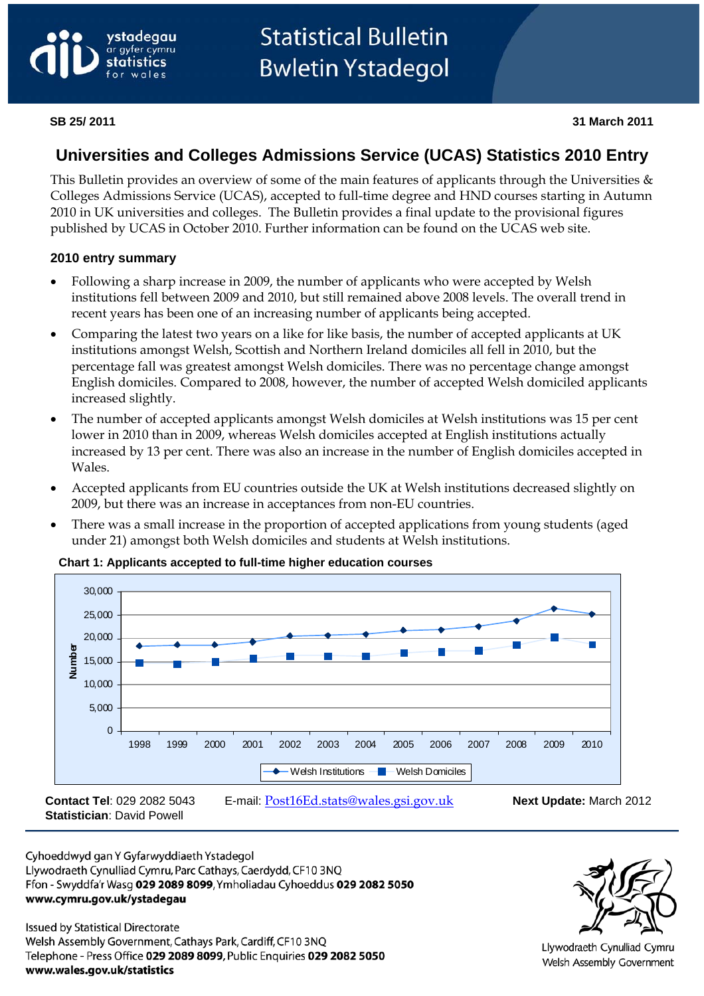

# **Universities and Colleges Admissions Service (UCAS) Statistics 2010 Entry**

This Bulletin provides an overview of some of the main features of applicants through the Universities & Colleges Admissions Service (UCAS), accepted to full-time degree and HND courses starting in Autumn 2010 in UK universities and colleges. The Bulletin provides a final update to the provisional figures published by UCAS in October 2010. Further information can be found on the UCAS web site.

#### **2010 entry summary**

- Following a sharp increase in 2009, the number of applicants who were accepted by Welsh institutions fell between 2009 and 2010, but still remained above 2008 levels. The overall trend in recent years has been one of an increasing number of applicants being accepted.
- Comparing the latest two years on a like for like basis, the number of accepted applicants at UK institutions amongst Welsh, Scottish and Northern Ireland domiciles all fell in 2010, but the percentage fall was greatest amongst Welsh domiciles. There was no percentage change amongst English domiciles. Compared to 2008, however, the number of accepted Welsh domiciled applicants increased slightly.
- The number of accepted applicants amongst Welsh domiciles at Welsh institutions was 15 per cent lower in 2010 than in 2009, whereas Welsh domiciles accepted at English institutions actually increased by 13 per cent. There was also an increase in the number of English domiciles accepted in Wales.
- Accepted applicants from EU countries outside the UK at Welsh institutions decreased slightly on 2009, but there was an increase in acceptances from non-EU countries.
- There was a small increase in the proportion of accepted applications from young students (aged under 21) amongst both Welsh domiciles and students at Welsh institutions.



#### **Chart 1: Applicants accepted to full-time higher education courses**

Cyhoeddwyd gan Y Gyfarwyddiaeth Ystadegol Llywodraeth Cynulliad Cymru, Parc Cathays, Caerdydd, CF10 3NQ Ffon - Swyddfa'r Wasg 029 2089 8099, Ymholiadau Cyhoeddus 029 2082 5050 www.cymru.gov.uk/ystadegau

**Issued by Statistical Directorate** Welsh Assembly Government, Cathays Park, Cardiff, CF10 3NQ Telephone - Press Office 029 2089 8099, Public Enquiries 029 2082 5050 www.wales.gov.uk/statistics



Llywodraeth Cynulliad Cymru Welsh Assembly Government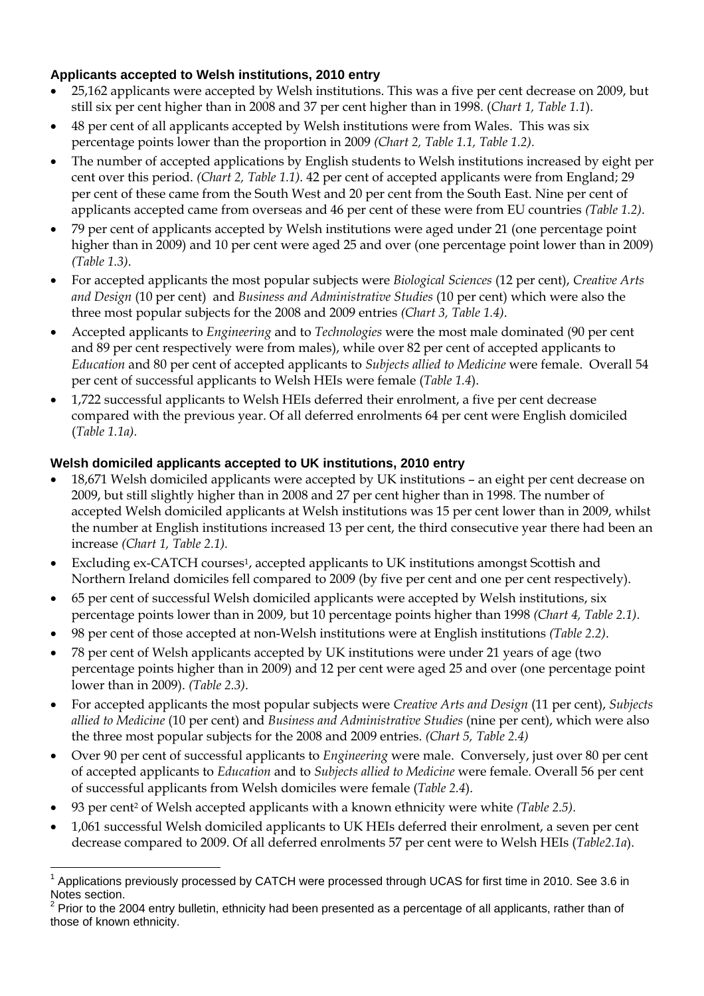#### **Applicants accepted to Welsh institutions, 2010 entry**

- 25,162 applicants were accepted by Welsh institutions. This was a five per cent decrease on 2009, but still six per cent higher than in 2008 and 37 per cent higher than in 1998. (*Chart 1, Table 1.1*).
- 48 per cent of all applicants accepted by Welsh institutions were from Wales. This was six percentage points lower than the proportion in 2009 *(Chart 2, Table 1.1, Table 1.2).*
- The number of accepted applications by English students to Welsh institutions increased by eight per cent over this period. *(Chart 2, Table 1.1)*. 42 per cent of accepted applicants were from England; 29 per cent of these came from the South West and 20 per cent from the South East. Nine per cent of applicants accepted came from overseas and 46 per cent of these were from EU countries *(Table 1.2)*.
- 79 per cent of applicants accepted by Welsh institutions were aged under 21 (one percentage point higher than in 2009) and 10 per cent were aged 25 and over (one percentage point lower than in 2009) *(Table 1.3)*.
- For accepted applicants the most popular subjects were *Biological Sciences* (12 per cent), *Creative Arts and Design* (10 per cent) and *Business and Administrative Studies* (10 per cent) which were also the three most popular subjects for the 2008 and 2009 entries *(Chart 3, Table 1.4)*.
- Accepted applicants to *Engineering* and to *Technologies* were the most male dominated (90 per cent and 89 per cent respectively were from males), while over 82 per cent of accepted applicants to *Education* and 80 per cent of accepted applicants to *Subjects allied to Medicine* were female. Overall 54 per cent of successful applicants to Welsh HEIs were female (*Table 1.4*).
- 1,722 successful applicants to Welsh HEIs deferred their enrolment, a five per cent decrease compared with the previous year. Of all deferred enrolments 64 per cent were English domiciled (*Table 1.1a).*

#### **Welsh domiciled applicants accepted to UK institutions, 2010 entry**

- 18,671 Welsh domiciled applicants were accepted by UK institutions an eight per cent decrease on 2009, but still slightly higher than in 2008 and 27 per cent higher than in 1998. The number of accepted Welsh domiciled applicants at Welsh institutions was 15 per cent lower than in 2009, whilst the number at English institutions increased 13 per cent, the third consecutive year there had been an increase *(Chart 1, Table 2.1).*
- Excluding ex-CATCH courses<sup>1</sup>, accepted applicants to UK institutions amongst Scottish and Northern Ireland domiciles fell compared to 2009 (by five per cent and one per cent respectively).
- 65 per cent of successful Welsh domiciled applicants were accepted by Welsh institutions, six percentage points lower than in 2009, but 10 percentage points higher than 1998 *(Chart 4, Table 2.1)*.
- 98 per cent of those accepted at non-Welsh institutions were at English institutions *(Table 2.2)*.
- 78 per cent of Welsh applicants accepted by UK institutions were under 21 years of age (two percentage points higher than in 2009) and 12 per cent were aged 25 and over (one percentage point lower than in 2009). *(Table 2.3)*.
- For accepted applicants the most popular subjects were *Creative Arts and Design* (11 per cent), *Subjects allied to Medicine* (10 per cent) and *Business and Administrative Studies* (nine per cent), which were also the three most popular subjects for the 2008 and 2009 entries. *(Chart 5, Table 2.4)*
- Over 90 per cent of successful applicants to *Engineering* were male. Conversely, just over 80 per cent of accepted applicants to *Education* and to *Subjects allied to Medicine* were female. Overall 56 per cent of successful applicants from Welsh domiciles were female (*Table 2.4*).
- 93 per cent2 of Welsh accepted applicants with a known ethnicity were white *(Table 2.5).*
- 1,061 successful Welsh domiciled applicants to UK HEIs deferred their enrolment, a seven per cent decrease compared to 2009. Of all deferred enrolments 57 per cent were to Welsh HEIs (*Table2.1a*).

 $\overline{a}$ <sup>1</sup> Applications previously processed by CATCH were processed through UCAS for first time in 2010. See 3.6 in Notes section.

 $2$  Prior to the 2004 entry bulletin, ethnicity had been presented as a percentage of all applicants, rather than of those of known ethnicity.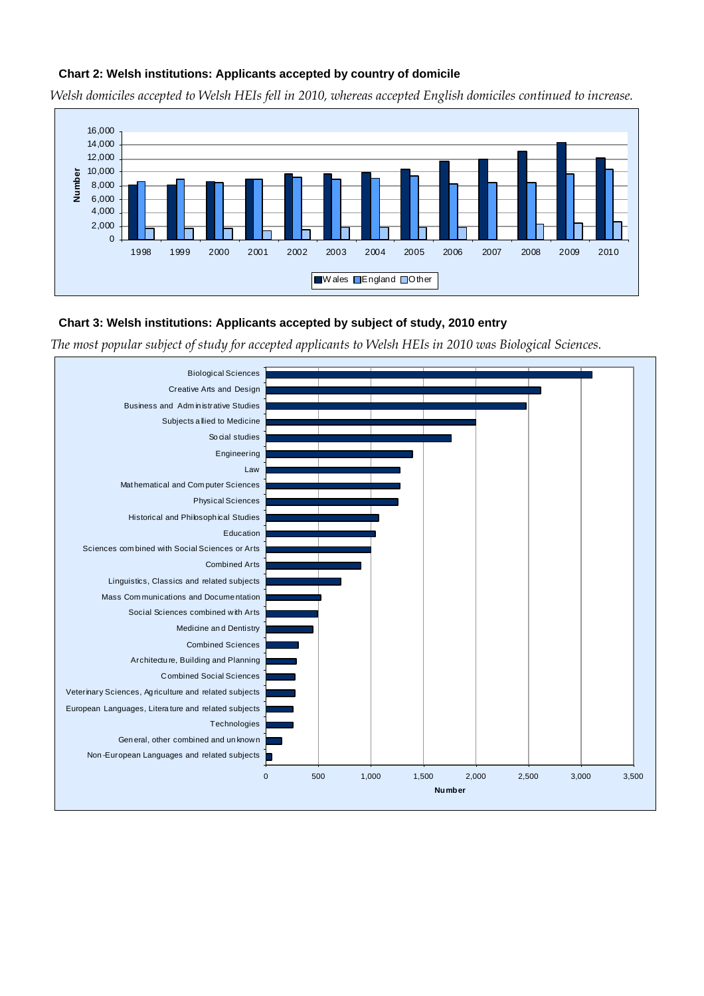#### **Chart 2: Welsh institutions: Applicants accepted by country of domicile**

*Welsh domiciles accepted to Welsh HEIs fell in 2010, whereas accepted English domiciles continued to increase.* 



#### **Chart 3: Welsh institutions: Applicants accepted by subject of study, 2010 entry**

*The most popular subject of study for accepted applicants to Welsh HEIs in 2010 was Biological Sciences.* 

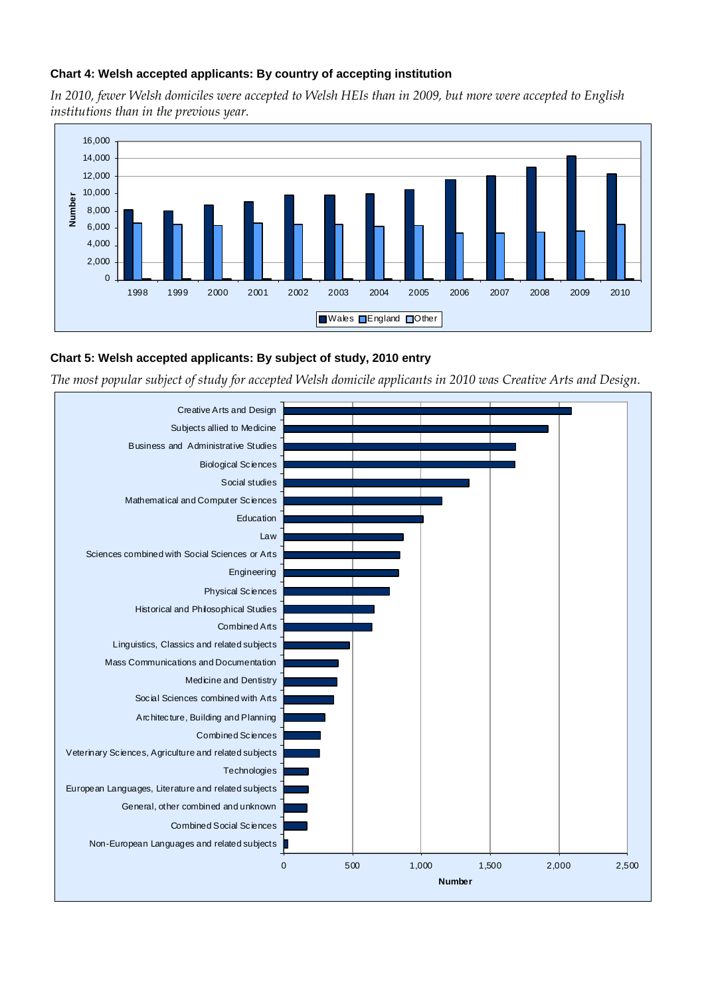#### **Chart 4: Welsh accepted applicants: By country of accepting institution**

*In 2010, fewer Welsh domiciles were accepted to Welsh HEIs than in 2009, but more were accepted to English institutions than in the previous year.* 



#### **Chart 5: Welsh accepted applicants: By subject of study, 2010 entry**

*The most popular subject of study for accepted Welsh domicile applicants in 2010 was Creative Arts and Design.* 

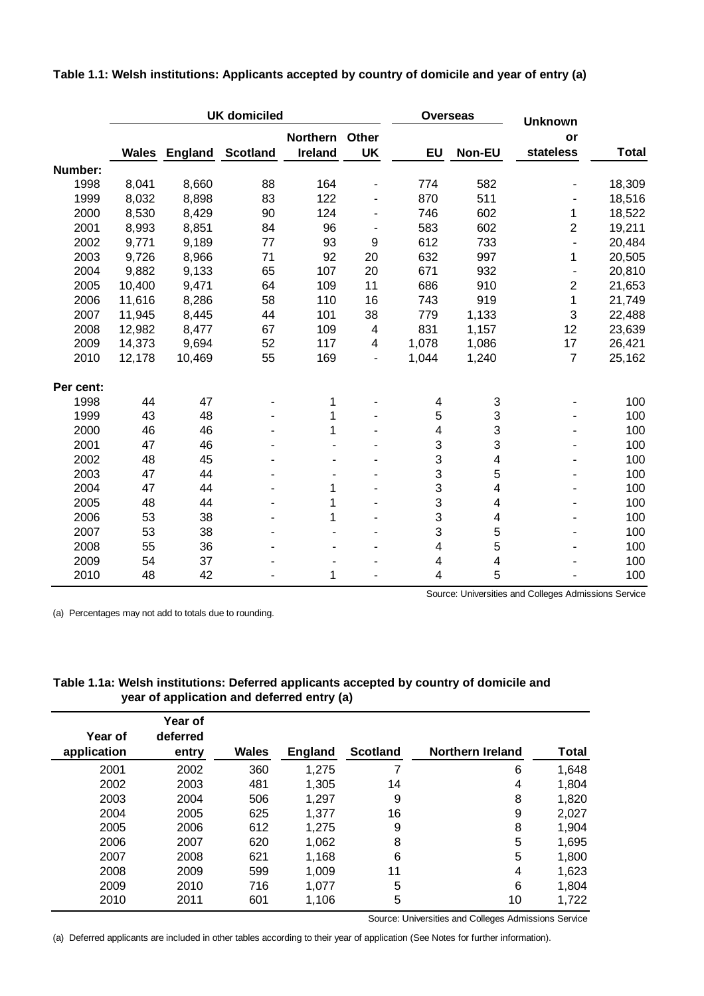|           |        |        | <b>UK domiciled</b>           |                 |                          | <b>Overseas</b>         |                         | <b>Unknown</b>          |              |
|-----------|--------|--------|-------------------------------|-----------------|--------------------------|-------------------------|-------------------------|-------------------------|--------------|
|           |        |        |                               | <b>Northern</b> | Other                    |                         |                         | or                      |              |
|           |        |        | <b>Wales England Scotland</b> | Ireland         | <b>UK</b>                | EU                      | Non-EU                  | stateless               | <b>Total</b> |
| Number:   |        |        |                               |                 |                          |                         |                         |                         |              |
| 1998      | 8,041  | 8,660  | 88                            | 164             | ٠                        | 774                     | 582                     |                         | 18,309       |
| 1999      | 8,032  | 8,898  | 83                            | 122             | ٠                        | 870                     | 511                     |                         | 18,516       |
| 2000      | 8,530  | 8,429  | 90                            | 124             |                          | 746                     | 602                     | 1                       | 18,522       |
| 2001      | 8,993  | 8,851  | 84                            | 96              |                          | 583                     | 602                     | 2                       | 19,211       |
| 2002      | 9,771  | 9,189  | 77                            | 93              | 9                        | 612                     | 733                     | ÷,                      | 20,484       |
| 2003      | 9,726  | 8,966  | 71                            | 92              | 20                       | 632                     | 997                     | 1                       | 20,505       |
| 2004      | 9,882  | 9,133  | 65                            | 107             | 20                       | 671                     | 932                     |                         | 20,810       |
| 2005      | 10,400 | 9,471  | 64                            | 109             | 11                       | 686                     | 910                     | $\overline{\mathbf{c}}$ | 21,653       |
| 2006      | 11,616 | 8,286  | 58                            | 110             | 16                       | 743                     | 919                     | 1                       | 21,749       |
| 2007      | 11,945 | 8,445  | 44                            | 101             | 38                       | 779                     | 1,133                   | 3                       | 22,488       |
| 2008      | 12,982 | 8,477  | 67                            | 109             | $\overline{\mathbf{4}}$  | 831                     | 1,157                   | 12                      | 23,639       |
| 2009      | 14,373 | 9,694  | 52                            | 117             | 4                        | 1,078                   | 1,086                   | 17                      | 26,421       |
| 2010      | 12,178 | 10,469 | 55                            | 169             | $\overline{\phantom{a}}$ | 1,044                   | 1,240                   | $\overline{7}$          | 25,162       |
| Per cent: |        |        |                               |                 |                          |                         |                         |                         |              |
| 1998      | 44     | 47     |                               | 1               |                          | 4                       | 3                       |                         | 100          |
| 1999      | 43     | 48     |                               | 1               |                          | $\mathbf 5$             | 3                       |                         | 100          |
| 2000      | 46     | 46     |                               | 1               |                          | $\overline{\mathbf{4}}$ | 3                       |                         | 100          |
| 2001      | 47     | 46     |                               |                 |                          | 3                       | 3                       |                         | 100          |
| 2002      | 48     | 45     |                               |                 |                          | 3                       | $\overline{\mathbf{4}}$ |                         | 100          |
| 2003      | 47     | 44     |                               |                 |                          | 3                       | 5                       |                         | 100          |
| 2004      | 47     | 44     |                               | 1               |                          | 3                       | $\overline{\mathbf{4}}$ |                         | 100          |
| 2005      | 48     | 44     |                               | 1               |                          | 3                       | 4                       |                         | 100          |
| 2006      | 53     | 38     |                               | 1               |                          | 3                       | 4                       |                         | 100          |
| 2007      | 53     | 38     |                               |                 |                          | 3                       | 5                       |                         | 100          |
| 2008      | 55     | 36     |                               |                 |                          | $\overline{\mathbf{4}}$ | 5                       |                         | 100          |
| 2009      | 54     | 37     |                               |                 |                          | 4                       | $\overline{\mathbf{4}}$ |                         | 100          |
| 2010      | 48     | 42     |                               | 1               |                          | 4                       | 5                       |                         | 100          |

**Table 1.1: Welsh institutions: Applicants accepted by country of domicile and year of entry (a)**

(a) Percentages may not add to totals due to rounding.

Source: Universities and Colleges Admissions Service

#### **Table 1.1a: Welsh institutions: Deferred applicants accepted by country of domicile and year of application and deferred entry (a)**

| Year of     | Year of<br>deferred |              |                |                 |                  |       |
|-------------|---------------------|--------------|----------------|-----------------|------------------|-------|
| application | entry               | <b>Wales</b> | <b>England</b> | <b>Scotland</b> | Northern Ireland | Total |
| 2001        | 2002                | 360          | 1,275          | 7               | 6                | 1,648 |
| 2002        | 2003                | 481          | 1,305          | 14              | 4                | 1,804 |
| 2003        | 2004                | 506          | 1,297          | 9               | 8                | 1,820 |
| 2004        | 2005                | 625          | 1,377          | 16              | 9                | 2,027 |
| 2005        | 2006                | 612          | 1,275          | 9               | 8                | 1,904 |
| 2006        | 2007                | 620          | 1,062          | 8               | 5                | 1,695 |
| 2007        | 2008                | 621          | 1,168          | 6               | 5                | 1,800 |
| 2008        | 2009                | 599          | 1,009          | 11              | 4                | 1,623 |
| 2009        | 2010                | 716          | 1,077          | 5               | 6                | 1,804 |
| 2010        | 2011                | 601          | 1,106          | 5               | 10               | 1,722 |

Source: Universities and Colleges Admissions Service

(a) Deferred applicants are included in other tables according to their year of application (See Notes for further information).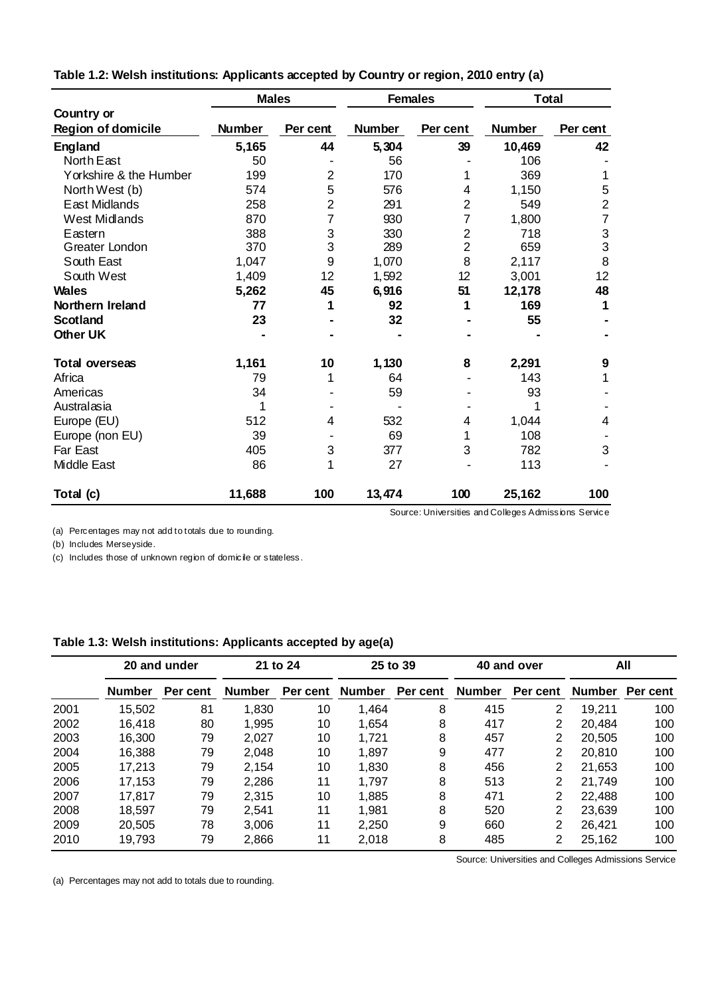|                           |               | <b>Males</b><br><b>Females</b> |               |                | <b>Total</b>  |                  |
|---------------------------|---------------|--------------------------------|---------------|----------------|---------------|------------------|
| Country or                |               |                                |               |                |               |                  |
| <b>Region of domicile</b> | <b>Number</b> | Per cent                       | <b>Number</b> | Per cent       | <b>Number</b> | Per cent         |
| <b>England</b>            | 5,165         | 44                             | 5,304         | 39             | 10,469        | 42               |
| North East                | 50            |                                | 56            |                | 106           |                  |
| Yorkshire & the Humber    | 199           | $\overline{2}$                 | 170           |                | 369           | 1                |
| North West (b)            | 574           | 5                              | 576           | 4              | 1,150         | 5                |
| East Midlands             | 258           | $\overline{2}$                 | 291           | $\overline{2}$ | 549           | $\boldsymbol{2}$ |
| <b>West Midlands</b>      | 870           | 7                              | 930           | 7              | 1,800         | $\overline{7}$   |
| Eastern                   | 388           | 3                              | 330           | $\overline{2}$ | 718           |                  |
| Greater London            | 370           | 3                              | 289           | $\overline{2}$ | 659           | $\frac{3}{3}$    |
| South East                | 1,047         | 9                              | 1,070         | 8              | 2,117         | 8                |
| South West                | 1,409         | 12                             | 1,592         | 12             | 3,001         | 12               |
| <b>Wales</b>              | 5,262         | 45                             | 6,916         | 51             | 12,178        | 48               |
| Northern Ireland          | 77            | 1                              | 92            | 1              | 169           | 1                |
| <b>Scotland</b>           | 23            |                                | 32            |                | 55            |                  |
| <b>Other UK</b>           |               |                                |               |                |               |                  |
| <b>Total overseas</b>     | 1,161         | 10                             | 1,130         | 8              | 2,291         | 9                |
| Africa                    | 79            | 1                              | 64            |                | 143           | 1                |
| Americas                  | 34            |                                | 59            |                | 93            |                  |
| Australasia               | 1             |                                |               |                | 1             |                  |
| Europe (EU)               | 512           | $\overline{4}$                 | 532           | 4              | 1,044         | $\overline{4}$   |
| Europe (non EU)           | 39            |                                | 69            |                | 108           |                  |
| <b>Far East</b>           | 405           | 3                              | 377           | 3              | 782           | 3                |
| <b>Middle East</b>        | 86            | 1                              | 27            |                | 113           |                  |
| Total (c)                 | 11,688        | 100                            | 13,474        | 100            | 25,162        | 100              |

**Table 1.2: Welsh institutions: Applicants accepted by Country or region, 2010 entry (a)**

(b) Includes Merseyside.

(c) Includes those of unknown region of domicile or stateless.

#### **Table 1.3: Welsh institutions: Applicants accepted by age(a)**

|      | 20 and under  |          |               | 21 to 24 | 25 to 39      |          | 40 and over |          | All    |                |
|------|---------------|----------|---------------|----------|---------------|----------|-------------|----------|--------|----------------|
|      | <b>Number</b> | Per cent | <b>Number</b> | Per cent | <b>Number</b> | Per cent | Number      | Per cent |        | Number Percent |
| 2001 | 15,502        | 81       | 1,830         | 10       | 1,464         | 8        | 415         | 2        | 19,211 | 100            |
| 2002 | 16.418        | 80       | 1,995         | 10       | 1.654         | 8        | 417         | 2        | 20,484 | 100            |
| 2003 | 16,300        | 79       | 2.027         | 10       | 1,721         | 8        | 457         | 2        | 20,505 | 100            |
| 2004 | 16.388        | 79       | 2.048         | 10       | 1.897         | 9        | 477         | 2        | 20,810 | 100            |
| 2005 | 17,213        | 79       | 2,154         | 10       | 1,830         | 8        | 456         | 2        | 21,653 | 100            |
| 2006 | 17,153        | 79       | 2,286         | 11       | 1.797         | 8        | 513         | 2        | 21.749 | 100            |
| 2007 | 17,817        | 79       | 2,315         | 10       | 1,885         | 8        | 471         | 2        | 22,488 | 100            |
| 2008 | 18.597        | 79       | 2.541         | 11       | 1,981         | 8        | 520         | 2        | 23.639 | 100            |
| 2009 | 20,505        | 78       | 3,006         | 11       | 2,250         | 9        | 660         | 2        | 26,421 | 100            |
| 2010 | 19.793        | 79       | 2,866         | 11       | 2.018         | 8        | 485         | 2        | 25,162 | 100            |

Source: Universities and Colleges Admissions Service

(a) Percentages may not add to totals due to rounding.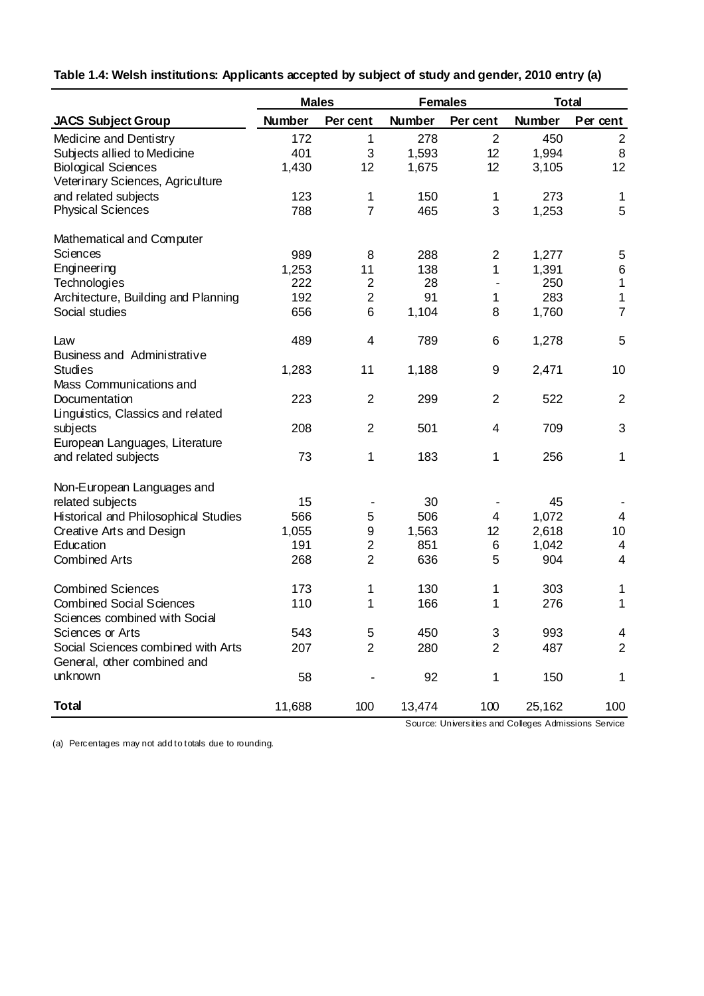| Table 1.4: Welsh institutions: Applicants accepted by subject of study and gender, 2010 entry (a) |
|---------------------------------------------------------------------------------------------------|
|---------------------------------------------------------------------------------------------------|

|                                                                   | <b>Males</b>  |                  | <b>Females</b> |                         | <b>Total</b>  |                  |
|-------------------------------------------------------------------|---------------|------------------|----------------|-------------------------|---------------|------------------|
| <b>JACS Subject Group</b>                                         | <b>Number</b> | Per cent         | <b>Number</b>  | Per cent                | <b>Number</b> | Per cent         |
| Medicine and Dentistry                                            | 172           | 1                | 278            | $\overline{2}$          | 450           | $\overline{2}$   |
| Subjects allied to Medicine                                       | 401           | 3                | 1,593          | 12                      | 1,994         | 8                |
| <b>Biological Sciences</b>                                        | 1,430         | 12               | 1,675          | 12                      | 3,105         | 12               |
| Veterinary Sciences, Agriculture                                  |               |                  |                |                         |               |                  |
| and related subjects                                              | 123           | 1                | 150            | $\mathbf 1$             | 273           | 1                |
| <b>Physical Sciences</b>                                          | 788           | $\overline{7}$   | 465            | 3                       | 1,253         | 5                |
| Mathematical and Computer                                         |               |                  |                |                         |               |                  |
| Sciences                                                          | 989           | 8                | 288            | $\overline{2}$          | 1,277         | 5                |
| Engineering                                                       | 1,253         | 11               | 138            | 1                       | 1,391         | $\,6$            |
| Technologies                                                      | 222           | $\overline{2}$   | 28             |                         | 250           | $\mathbf{1}$     |
| Architecture, Building and Planning                               | 192           | $\overline{c}$   | 91             | 1                       | 283           | 1                |
| Social studies                                                    | 656           | 6                | 1,104          | 8                       | 1,760         | $\overline{7}$   |
| Law<br><b>Business and Administrative</b>                         | 489           | $\overline{4}$   | 789            | 6                       | 1,278         | 5                |
| <b>Studies</b>                                                    | 1,283         | 11               | 1,188          | 9                       | 2,471         | 10               |
| Mass Communications and                                           |               |                  |                |                         |               |                  |
| Documentation                                                     | 223           | $\overline{2}$   | 299            | $\overline{2}$          | 522           | $\overline{2}$   |
| Linguistics, Classics and related                                 |               |                  |                |                         |               |                  |
| subjects                                                          | 208           | $\overline{2}$   | 501            | $\overline{\mathbf{4}}$ | 709           | 3                |
| European Languages, Literature                                    |               |                  |                |                         |               |                  |
| and related subjects                                              | 73            | 1                | 183            | 1                       | 256           | 1                |
| Non-European Languages and                                        |               |                  |                |                         |               |                  |
| related subjects                                                  | 15            |                  | 30             |                         | 45            |                  |
| Historical and Philosophical Studies                              | 566           | 5                | 506            | 4                       | 1,072         | $\overline{4}$   |
| Creative Arts and Design                                          | 1,055         | $\boldsymbol{9}$ | 1,563          | 12                      | 2,618         | 10               |
| Education                                                         | 191           | $\overline{2}$   | 851            | 6                       | 1,042         | $\overline{4}$   |
| <b>Combined Arts</b>                                              | 268           | $\overline{2}$   | 636            | 5                       | 904           | $\overline{4}$   |
| <b>Combined Sciences</b>                                          | 173           | 1                | 130            | 1                       | 303           | 1                |
| <b>Combined Social Sciences</b>                                   | 110           | 1                | 166            | 1                       | 276           | 1                |
| Sciences combined with Social                                     |               |                  |                |                         |               |                  |
| Sciences or Arts                                                  | 543           | 5                | 450            | 3                       | 993           | 4                |
| Social Sciences combined with Arts<br>General, other combined and | 207           | 2                | 280            | $\overline{2}$          | 487           | $\boldsymbol{2}$ |
| unknown                                                           | 58            |                  | 92             | 1                       | 150           | 1                |
| <b>Total</b>                                                      | 11,688        | 100              | 13,474         | 100                     | 25,162        | 100              |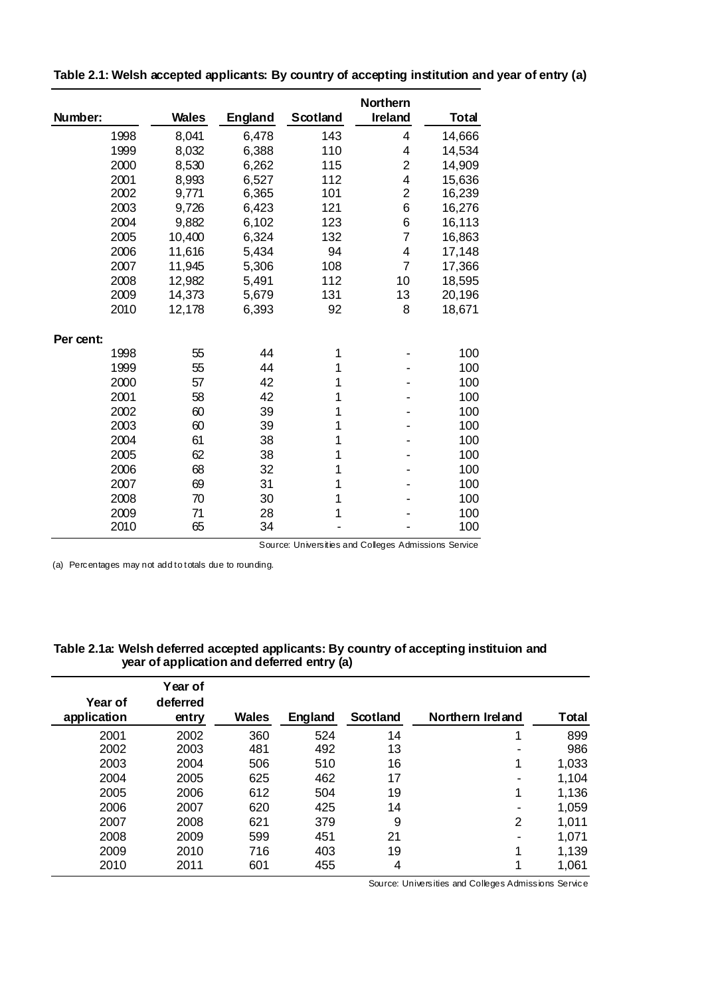|           |              |                |          | Northern                |              |
|-----------|--------------|----------------|----------|-------------------------|--------------|
| Number:   | <b>Wales</b> | <b>England</b> | Scotland | <b>Ireland</b>          | <b>Total</b> |
| 1998      | 8,041        | 6,478          | 143      | 4                       | 14,666       |
| 1999      | 8,032        | 6,388          | 110      | 4                       | 14,534       |
| 2000      | 8,530        | 6,262          | 115      | $\overline{\mathbf{c}}$ | 14,909       |
| 2001      | 8,993        | 6,527          | 112      | $\overline{\mathbf{4}}$ | 15,636       |
| 2002      | 9,771        | 6,365          | 101      | $\overline{2}$          | 16,239       |
| 2003      | 9,726        | 6,423          | 121      | 6                       | 16,276       |
| 2004      | 9,882        | 6,102          | 123      | 6                       | 16,113       |
| 2005      | 10,400       | 6,324          | 132      | 7                       | 16,863       |
| 2006      | 11,616       | 5,434          | 94       | 4                       | 17,148       |
| 2007      | 11,945       | 5,306          | 108      | $\overline{7}$          | 17,366       |
| 2008      | 12,982       | 5,491          | 112      | 10                      | 18,595       |
| 2009      | 14,373       | 5,679          | 131      | 13                      | 20,196       |
| 2010      | 12,178       | 6,393          | 92       | 8                       | 18,671       |
| Per cent: |              |                |          |                         |              |
| 1998      | 55           | 44             | 1        |                         | 100          |
| 1999      | 55           | 44             | 1        |                         | 100          |
| 2000      | 57           | 42             | 1        |                         | 100          |
| 2001      | 58           | 42             | 1        |                         | 100          |
| 2002      | 60           | 39             | 1        |                         | 100          |
| 2003      | 60           | 39             | 1        |                         | 100          |
| 2004      | 61           | 38             | 1        |                         | 100          |
| 2005      | 62           | 38             | 1        |                         | 100          |
| 2006      | 68           | 32             | 1        |                         | 100          |
| 2007      | 69           | 31             | 1        |                         | 100          |
| 2008      | 70           | 30             | 1        |                         | 100          |
| 2009      | 71           | 28             | 1        |                         | 100          |
| 2010      | 65           | 34             |          |                         | 100          |

**Table 2.1: Welsh accepted applicants: By country of accepting institution and year of entry (a)**

Source: Universities and Colleges Admissions Service

(a) Percentages may not add to totals due to rounding.

#### **Table 2.1a: Welsh deferred accepted applicants: By country of accepting instituion and year of application and deferred entry (a)**

|                        | Year of           |              |         |          |                  |       |
|------------------------|-------------------|--------------|---------|----------|------------------|-------|
| Year of<br>application | deferred<br>entry | <b>Wales</b> | England | Scotland | Northern Ireland | Total |
|                        |                   |              |         |          |                  |       |
| 2001                   | 2002              | 360          | 524     | 14       |                  | 899   |
| 2002                   | 2003              | 481          | 492     | 13       | -                | 986   |
| 2003                   | 2004              | 506          | 510     | 16       | 1                | 1,033 |
| 2004                   | 2005              | 625          | 462     | 17       |                  | 1,104 |
| 2005                   | 2006              | 612          | 504     | 19       | 1                | 1,136 |
| 2006                   | 2007              | 620          | 425     | 14       |                  | 1,059 |
| 2007                   | 2008              | 621          | 379     | 9        | 2                | 1,011 |
| 2008                   | 2009              | 599          | 451     | 21       |                  | 1,071 |
| 2009                   | 2010              | 716          | 403     | 19       | 1                | 1,139 |
| 2010                   | 2011              | 601          | 455     | 4        | 4                | 1,061 |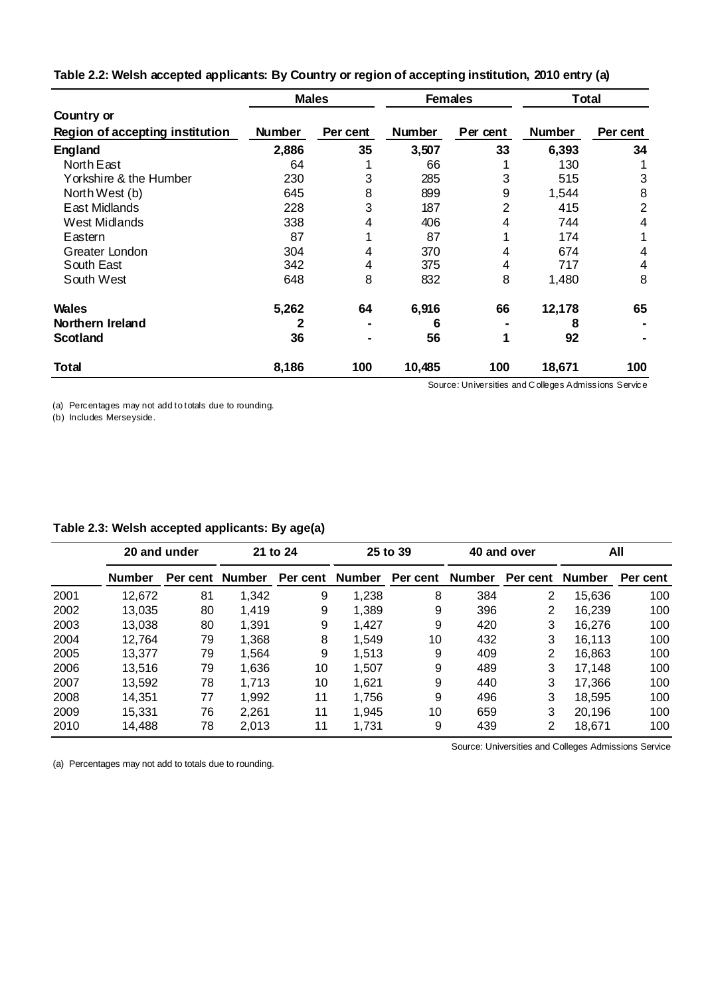|                                 |               | <b>Males</b> |               | <b>Females</b>                                       | Total         |                |
|---------------------------------|---------------|--------------|---------------|------------------------------------------------------|---------------|----------------|
| Country or                      |               |              |               |                                                      |               |                |
| Region of accepting institution | <b>Number</b> | Per cent     | <b>Number</b> | Per cent                                             | <b>Number</b> | Per cent       |
| <b>England</b>                  | 2,886         | 35           | 3,507         | 33                                                   | 6,393         | 34             |
| North East                      | 64            |              | 66            |                                                      | 130           |                |
| Yorkshire & the Humber          | 230           | 3            | 285           | 3                                                    | 515           | 3              |
| North West (b)                  | 645           | 8            | 899           | 9                                                    | 1,544         | 8              |
| East Midlands                   | 228           | 3            | 187           | 2                                                    | 415           | $\overline{2}$ |
| West Midlands                   | 338           | 4            | 406           | 4                                                    | 744           | 4              |
| Eastern                         | 87            |              | 87            |                                                      | 174           |                |
| Greater London                  | 304           | 4            | 370           | 4                                                    | 674           | 4              |
| South East                      | 342           | 4            | 375           | 4                                                    | 717           | 4              |
| South West                      | 648           | 8            | 832           | 8                                                    | 1,480         | 8              |
| Wales                           | 5,262         | 64           | 6,916         | 66                                                   | 12,178        | 65             |
| Northern Ireland                | 2             |              | 6             |                                                      | 8             |                |
| <b>Scotland</b>                 | 36            |              | 56            | 1                                                    | 92            |                |
| Total                           | 8,186         | 100          | 10,485        | 100                                                  | 18,671        | 100            |
|                                 |               |              |               | Source: Universities and Colleges Admissions Service |               |                |

**Table 2.2: Welsh accepted applicants: By Country or region of accepting institution, 2010 entry (a)**

(b) Includes Merseyside.

| Table 2.3: Welsh accepted applicants: By age(a) |
|-------------------------------------------------|
|-------------------------------------------------|

|      | 20 and under  |                 |       | 21 to 24        | 25 to 39 |                 | 40 and over |          | All           |          |
|------|---------------|-----------------|-------|-----------------|----------|-----------------|-------------|----------|---------------|----------|
|      | <b>Number</b> | Per cent Number |       | Per cent Number |          | Per cent Number |             | Per cent | <b>Number</b> | Per cent |
| 2001 | 12,672        | 81              | 1,342 | 9               | 1,238    | 8               | 384         | 2        | 15,636        | 100      |
| 2002 | 13.035        | 80              | 1,419 | 9               | 1,389    | 9               | 396         | 2        | 16.239        | 100      |
| 2003 | 13,038        | 80              | 1,391 | 9               | 1.427    | 9               | 420         | 3        | 16.276        | 100      |
| 2004 | 12,764        | 79              | 1,368 | 8               | 1,549    | 10              | 432         | 3        | 16.113        | 100      |
| 2005 | 13.377        | 79              | 1.564 | 9               | 1.513    | 9               | 409         | 2        | 16.863        | 100      |
| 2006 | 13.516        | 79              | 1,636 | 10              | 1.507    | 9               | 489         | 3        | 17.148        | 100      |
| 2007 | 13,592        | 78              | 1,713 | 10              | 1,621    | 9               | 440         | 3        | 17,366        | 100      |
| 2008 | 14,351        | 77              | 1,992 | 11              | 1.756    | 9               | 496         | 3        | 18.595        | 100      |
| 2009 | 15.331        | 76              | 2.261 | 11              | 1.945    | 10              | 659         | 3        | 20,196        | 100      |
| 2010 | 14,488        | 78              | 2,013 | 11              | 1,731    | 9               | 439         | 2        | 18,671        | 100      |

(a) Percentages may not add to totals due to rounding.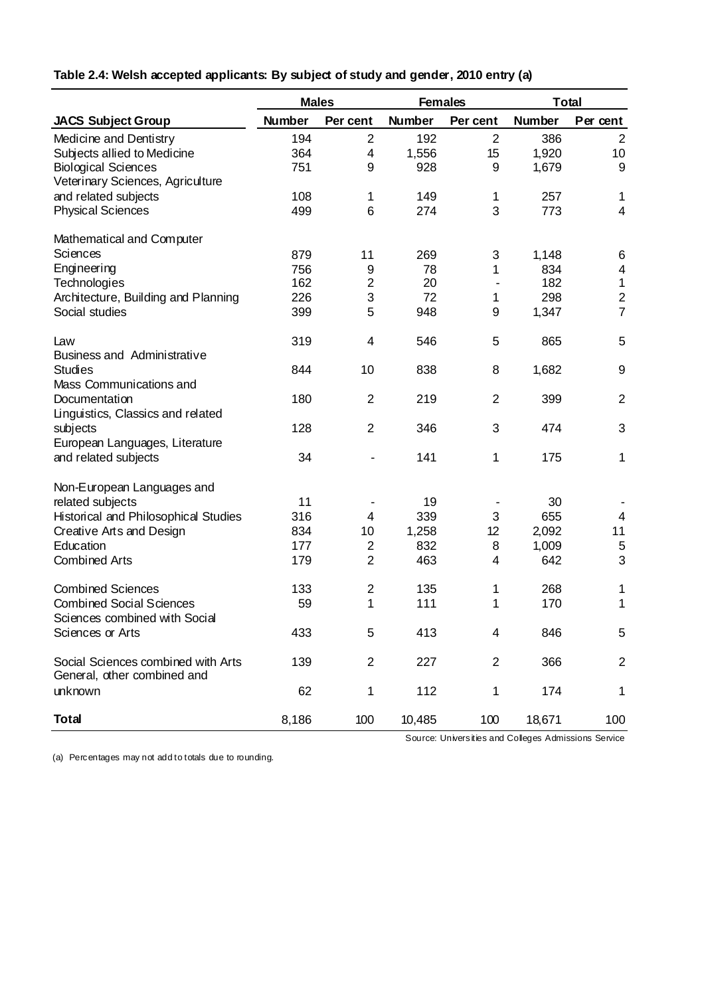|                                                                   | <b>Males</b>  |                         | <b>Females</b> |                | <b>Total</b>  |                          |
|-------------------------------------------------------------------|---------------|-------------------------|----------------|----------------|---------------|--------------------------|
| <b>JACS Subject Group</b>                                         | <b>Number</b> | Per cent                | <b>Number</b>  | Per cent       | <b>Number</b> | Per cent                 |
| Medicine and Dentistry                                            | 194           | $\overline{2}$          | 192            | $\overline{2}$ | 386           | $\overline{2}$           |
| Subjects allied to Medicine                                       | 364           | $\overline{\mathbf{4}}$ | 1,556          | 15             | 1,920         | 10                       |
| <b>Biological Sciences</b>                                        | 751           | 9                       | 928            | 9              | 1,679         | 9                        |
| Veterinary Sciences, Agriculture                                  |               |                         |                |                |               |                          |
| and related subjects                                              | 108           | 1                       | 149            | 1              | 257           | 1                        |
| <b>Physical Sciences</b>                                          | 499           | 6                       | 274            | 3              | 773           | $\overline{4}$           |
| Mathematical and Computer                                         |               |                         |                |                |               |                          |
| Sciences                                                          | 879           | 11                      | 269            | 3              | 1,148         | 6                        |
| Engineering                                                       | 756           | 9                       | 78             | 1              | 834           | $\overline{\mathcal{A}}$ |
| Technologies                                                      | 162           | $\overline{2}$          | 20             |                | 182           | $\mathbf{1}$             |
| Architecture, Building and Planning                               | 226           | 3                       | 72             | 1              | 298           | $\overline{c}$           |
| Social studies                                                    | 399           | 5                       | 948            | 9              | 1,347         | $\overline{7}$           |
| Law                                                               | 319           | $\overline{\mathbf{4}}$ | 546            | 5              | 865           | 5                        |
| <b>Business and Administrative</b><br><b>Studies</b>              | 844           | 10                      | 838            | 8              | 1,682         | $\boldsymbol{9}$         |
| Mass Communications and                                           |               |                         |                |                |               |                          |
| Documentation                                                     | 180           | $\overline{2}$          | 219            | $\overline{2}$ | 399           | $\overline{2}$           |
| Linguistics, Classics and related                                 |               |                         |                |                |               |                          |
| subjects                                                          | 128           | $\overline{2}$          | 346            | 3              | 474           | 3                        |
| European Languages, Literature                                    |               |                         |                |                |               |                          |
| and related subjects                                              | 34            |                         | 141            | 1              | 175           | 1                        |
| Non-European Languages and                                        |               |                         |                |                |               |                          |
| related subjects                                                  | 11            |                         | 19             |                | 30            |                          |
| Historical and Philosophical Studies                              | 316           | $\overline{\mathbf{4}}$ | 339            | 3              | 655           | 4                        |
| Creative Arts and Design                                          | 834           | 10                      | 1,258          | 12             | 2,092         | 11                       |
| Education                                                         | 177           | $\overline{2}$          | 832            | 8              | 1,009         | 5                        |
| <b>Combined Arts</b>                                              | 179           | $\overline{2}$          | 463            | 4              | 642           | 3                        |
| <b>Combined Sciences</b>                                          | 133           | $\overline{2}$          | 135            | 1              | 268           | 1                        |
| <b>Combined Social Sciences</b>                                   | 59            | 1                       | 111            | 1              | 170           | 1                        |
| Sciences combined with Social                                     |               |                         |                |                |               |                          |
| Sciences or Arts                                                  | 433           | 5                       | 413            | 4              | 846           | 5                        |
| Social Sciences combined with Arts<br>General, other combined and | 139           | $\overline{2}$          | 227            | $\overline{2}$ | 366           | $\overline{\mathbf{c}}$  |
| unknown                                                           | 62            | 1                       | 112            | 1              | 174           | 1                        |
| <b>Total</b>                                                      |               |                         |                |                |               |                          |
|                                                                   | 8,186         | 100                     | 10,485         | 100            | 18,671        | 100                      |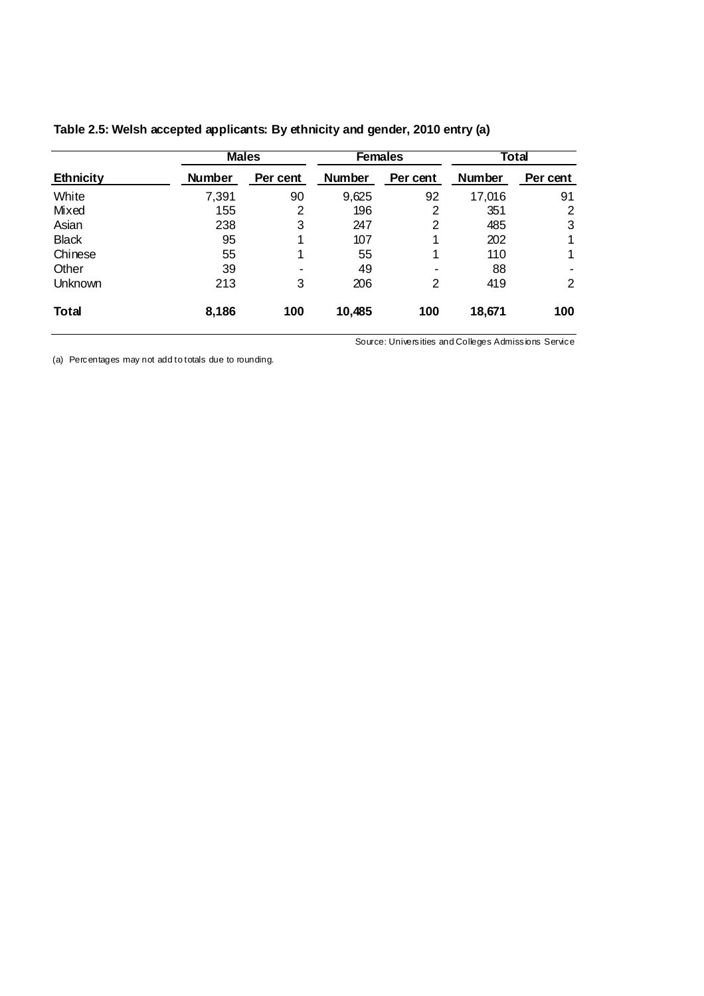|                  |               | <b>Males</b>             |               | <b>Females</b> | Total         |                |
|------------------|---------------|--------------------------|---------------|----------------|---------------|----------------|
| <b>Ethnicity</b> | <b>Number</b> | Per cent                 | <b>Number</b> | Per cent       | <b>Number</b> | Per cent       |
| White            | 7,391         | 90                       | 9,625         | 92             | 17,016        | 91             |
| Mixed            | 155           | 2                        | 196           | 2              | 351           | 2              |
| Asian            | 238           | 3                        | 247           | $\overline{2}$ | 485           | 3              |
| <b>Black</b>     | 95            |                          | 107           | 4              | 202           | 1              |
| Chinese          | 55            |                          | 55            | 4              | 110           | 1              |
| Other            | 39            | $\overline{\phantom{0}}$ | 49            |                | 88            |                |
| Unknown          | 213           | 3                        | 206           | $\overline{2}$ | 419           | $\overline{2}$ |
| <b>Total</b>     | 8,186         | 100                      | 10,485        | 100            | 18,671        | 100            |

## **Table 2.5: Welsh accepted applicants: By ethnicity and gender, 2010 entry (a)**

Source: Universities and Colleges Admissions Service

(a) Percentages may not add to totals due to rounding.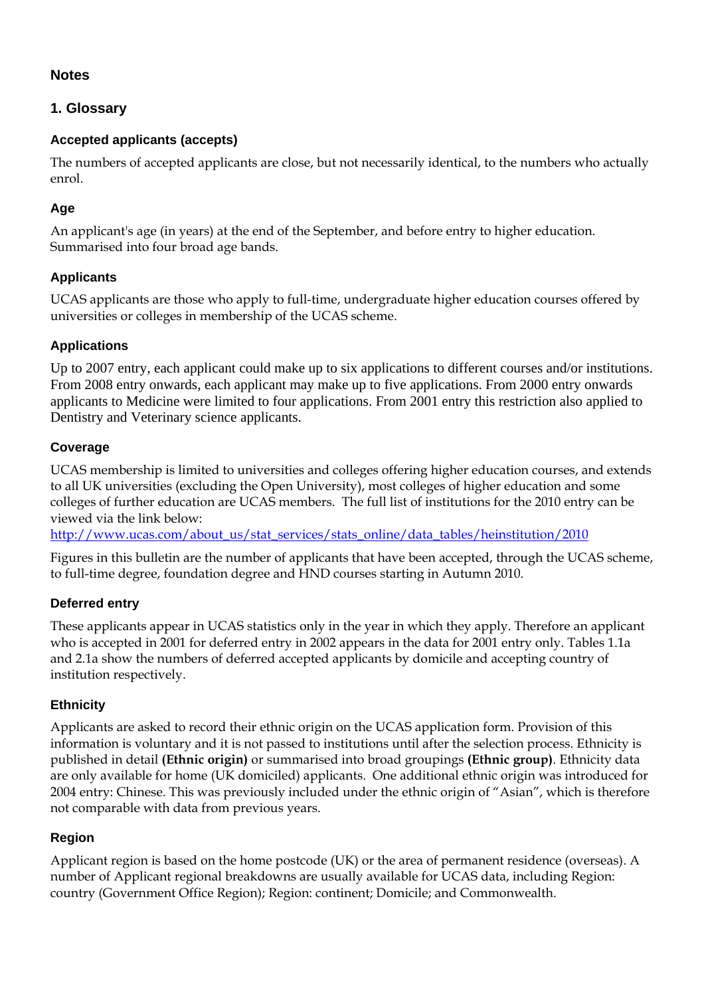## **Notes**

# **1. Glossary**

## **Accepted applicants (accepts)**

The numbers of accepted applicants are close, but not necessarily identical, to the numbers who actually enrol.

# **Age**

An applicant's age (in years) at the end of the September, and before entry to higher education. Summarised into four broad age bands.

# **Applicants**

UCAS applicants are those who apply to full-time, undergraduate higher education courses offered by universities or colleges in membership of the UCAS scheme.

## **Applications**

Up to 2007 entry, each applicant could make up to six applications to different courses and/or institutions. From 2008 entry onwards, each applicant may make up to five applications. From 2000 entry onwards applicants to Medicine were limited to four applications. From 2001 entry this restriction also applied to Dentistry and Veterinary science applicants.

## **Coverage**

UCAS membership is limited to universities and colleges offering higher education courses, and extends to all UK universities (excluding the Open University), most colleges of higher education and some colleges of further education are UCAS members. The full list of institutions for the 2010 entry can be viewed via the link below:

http://www.ucas.com/about\_us/stat\_services/stats\_online/data\_tables/heinstitution/2010

Figures in this bulletin are the number of applicants that have been accepted, through the UCAS scheme, to full-time degree, foundation degree and HND courses starting in Autumn 2010.

## **Deferred entry**

These applicants appear in UCAS statistics only in the year in which they apply. Therefore an applicant who is accepted in 2001 for deferred entry in 2002 appears in the data for 2001 entry only. Tables 1.1a and 2.1a show the numbers of deferred accepted applicants by domicile and accepting country of institution respectively.

## **Ethnicity**

Applicants are asked to record their ethnic origin on the UCAS application form. Provision of this information is voluntary and it is not passed to institutions until after the selection process. Ethnicity is published in detail **(Ethnic origin)** or summarised into broad groupings **(Ethnic group)**. Ethnicity data are only available for home (UK domiciled) applicants. One additional ethnic origin was introduced for 2004 entry: Chinese. This was previously included under the ethnic origin of "Asian", which is therefore not comparable with data from previous years.

## **Region**

Applicant region is based on the home postcode (UK) or the area of permanent residence (overseas). A number of Applicant regional breakdowns are usually available for UCAS data, including Region: country (Government Office Region); Region: continent; Domicile; and Commonwealth.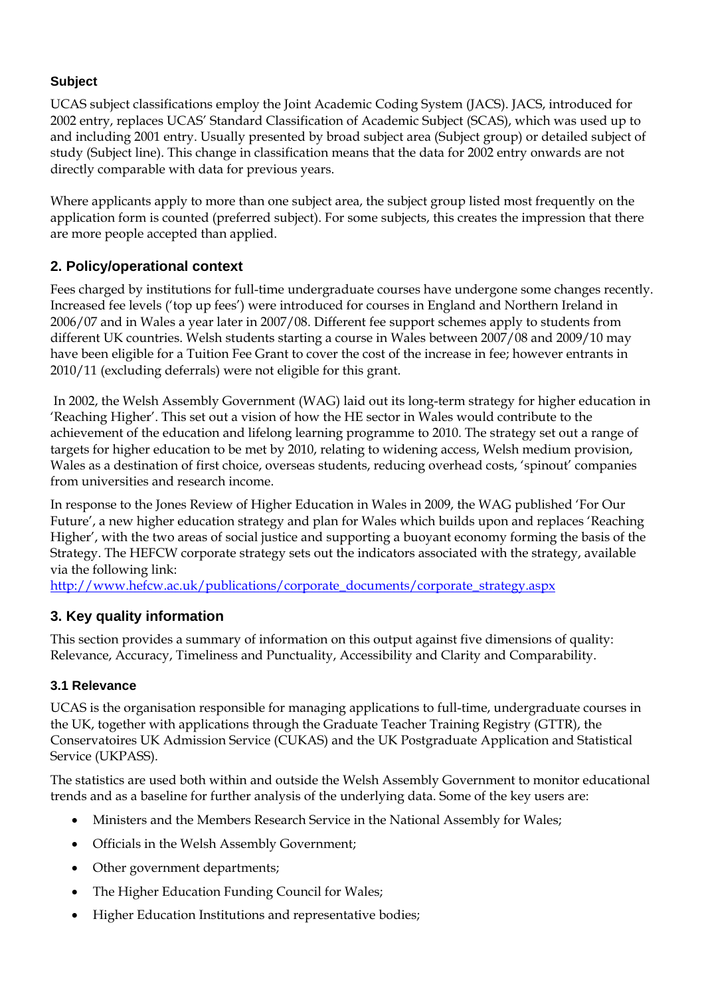## **Subject**

UCAS subject classifications employ the Joint Academic Coding System (JACS). JACS, introduced for 2002 entry, replaces UCAS' Standard Classification of Academic Subject (SCAS), which was used up to and including 2001 entry. Usually presented by broad subject area (Subject group) or detailed subject of study (Subject line). This change in classification means that the data for 2002 entry onwards are not directly comparable with data for previous years.

Where applicants apply to more than one subject area, the subject group listed most frequently on the application form is counted (preferred subject). For some subjects, this creates the impression that there are more people accepted than applied.

# **2. Policy/operational context**

Fees charged by institutions for full-time undergraduate courses have undergone some changes recently. Increased fee levels ('top up fees') were introduced for courses in England and Northern Ireland in 2006/07 and in Wales a year later in 2007/08. Different fee support schemes apply to students from different UK countries. Welsh students starting a course in Wales between 2007/08 and 2009/10 may have been eligible for a Tuition Fee Grant to cover the cost of the increase in fee; however entrants in 2010/11 (excluding deferrals) were not eligible for this grant.

 In 2002, the Welsh Assembly Government (WAG) laid out its long-term strategy for higher education in 'Reaching Higher'. This set out a vision of how the HE sector in Wales would contribute to the achievement of the education and lifelong learning programme to 2010. The strategy set out a range of targets for higher education to be met by 2010, relating to widening access, Welsh medium provision, Wales as a destination of first choice, overseas students, reducing overhead costs, 'spinout' companies from universities and research income.

In response to the Jones Review of Higher Education in Wales in 2009, the WAG published 'For Our Future', a new higher education strategy and plan for Wales which builds upon and replaces 'Reaching Higher', with the two areas of social justice and supporting a buoyant economy forming the basis of the Strategy. The HEFCW corporate strategy sets out the indicators associated with the strategy, available via the following link:

http://www.hefcw.ac.uk/publications/corporate\_documents/corporate\_strategy.aspx

# **3. Key quality information**

This section provides a summary of information on this output against five dimensions of quality: Relevance, Accuracy, Timeliness and Punctuality, Accessibility and Clarity and Comparability.

## **3.1 Relevance**

UCAS is the organisation responsible for managing applications to full-time, undergraduate courses in the UK, together with applications through the Graduate Teacher Training Registry (GTTR), the Conservatoires UK Admission Service (CUKAS) and the UK Postgraduate Application and Statistical Service (UKPASS).

The statistics are used both within and outside the Welsh Assembly Government to monitor educational trends and as a baseline for further analysis of the underlying data. Some of the key users are:

- Ministers and the Members Research Service in the National Assembly for Wales;
- Officials in the Welsh Assembly Government;
- Other government departments;
- The Higher Education Funding Council for Wales;
- Higher Education Institutions and representative bodies;